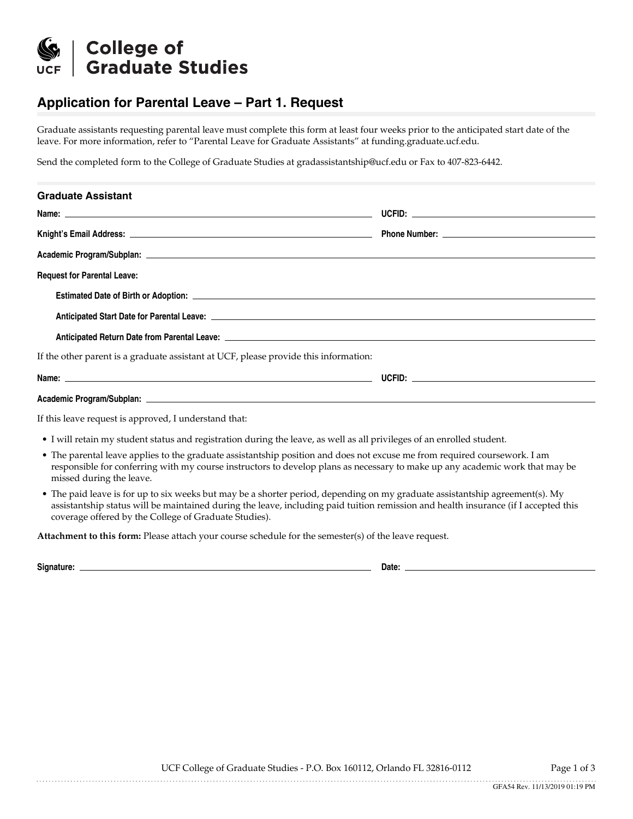

## **Application for Parental Leave – Part 1. Request**

Graduate assistants requesting parental leave must complete this form at least four weeks prior to the anticipated start date of the leave. For more information, refer to "Parental Leave for Graduate Assistants" at funding.graduate.ucf.edu.

Send the completed form to the College of Graduate Studies at gradassistantship@ucf.edu or Fax to 407-823-6442.

| <b>Graduate Assistant</b>                                                                                                                                                                                                                                                             |  |
|---------------------------------------------------------------------------------------------------------------------------------------------------------------------------------------------------------------------------------------------------------------------------------------|--|
|                                                                                                                                                                                                                                                                                       |  |
|                                                                                                                                                                                                                                                                                       |  |
|                                                                                                                                                                                                                                                                                       |  |
| <b>Request for Parental Leave:</b>                                                                                                                                                                                                                                                    |  |
|                                                                                                                                                                                                                                                                                       |  |
|                                                                                                                                                                                                                                                                                       |  |
|                                                                                                                                                                                                                                                                                       |  |
| If the other parent is a graduate assistant at UCF, please provide this information:                                                                                                                                                                                                  |  |
|                                                                                                                                                                                                                                                                                       |  |
|                                                                                                                                                                                                                                                                                       |  |
| If this leave request is approved, I understand that:                                                                                                                                                                                                                                 |  |
| • I will retain my student status and registration during the leave, as well as all privileges of an enrolled student.                                                                                                                                                                |  |
| • The parental leave applies to the graduate assistantship position and does not excuse me from required coursework. I am<br>responsible for conferring with my course instructors to develop plans as necessary to make up any academic work that may be<br>missed during the leave. |  |

• The paid leave is for up to six weeks but may be a shorter period, depending on my graduate assistantship agreement(s). My assistantship status will be maintained during the leave, including paid tuition remission and health insurance (if I accepted this coverage offered by the College of Graduate Studies).

**Attachment to this form:** Please attach your course schedule for the semester(s) of the leave request.

**Signature: Date:**

UCF College of Graduate Studies - P.O. Box 160112, Orlando FL 32816-0112 Page 1 of 3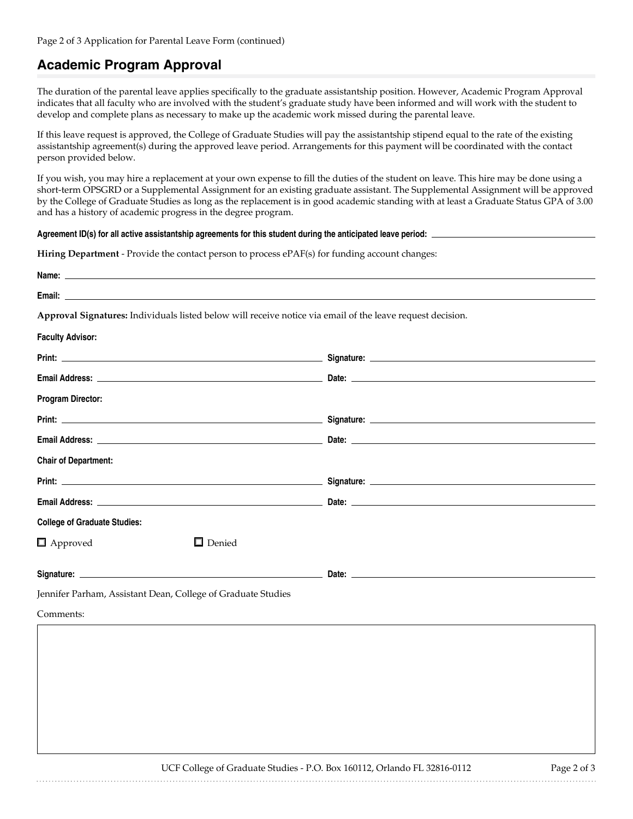### **Academic Program Approval**

The duration of the parental leave applies specifically to the graduate assistantship position. However, Academic Program Approval indicates that all faculty who are involved with the student's graduate study have been informed and will work with the student to develop and complete plans as necessary to make up the academic work missed during the parental leave.

If this leave request is approved, the College of Graduate Studies will pay the assistantship stipend equal to the rate of the existing assistantship agreement(s) during the approved leave period. Arrangements for this payment will be coordinated with the contact person provided below.

If you wish, you may hire a replacement at your own expense to fill the duties of the student on leave. This hire may be done using a short-term OPSGRD or a Supplemental Assignment for an existing graduate assistant. The Supplemental Assignment will be approved by the College of Graduate Studies as long as the replacement is in good academic standing with at least a Graduate Status GPA of 3.00 and has a history of academic progress in the degree program.

#### **Agreement ID(s) for all active assistantship agreements for this student during the anticipated leave period:**

**Hiring Department** - Provide the contact person to process ePAF(s) for funding account changes:

|                                     |                                                              | Approval Signatures: Individuals listed below will receive notice via email of the leave request decision. |  |
|-------------------------------------|--------------------------------------------------------------|------------------------------------------------------------------------------------------------------------|--|
| <b>Faculty Advisor:</b>             |                                                              |                                                                                                            |  |
|                                     |                                                              |                                                                                                            |  |
|                                     |                                                              |                                                                                                            |  |
| <b>Program Director:</b>            |                                                              |                                                                                                            |  |
|                                     |                                                              |                                                                                                            |  |
|                                     |                                                              |                                                                                                            |  |
| <b>Chair of Department:</b>         |                                                              |                                                                                                            |  |
|                                     |                                                              |                                                                                                            |  |
|                                     |                                                              |                                                                                                            |  |
| <b>College of Graduate Studies:</b> |                                                              |                                                                                                            |  |
| $\Box$ Approved                     | $\Box$ Denied                                                |                                                                                                            |  |
|                                     |                                                              |                                                                                                            |  |
|                                     | Jennifer Parham, Assistant Dean, College of Graduate Studies |                                                                                                            |  |
| Comments:                           |                                                              |                                                                                                            |  |
|                                     |                                                              |                                                                                                            |  |
|                                     |                                                              |                                                                                                            |  |
|                                     |                                                              |                                                                                                            |  |
|                                     |                                                              |                                                                                                            |  |
|                                     |                                                              |                                                                                                            |  |
|                                     |                                                              |                                                                                                            |  |

UCF College of Graduate Studies - P.O. Box 160112, Orlando FL 32816-0112 Page 2 of 3